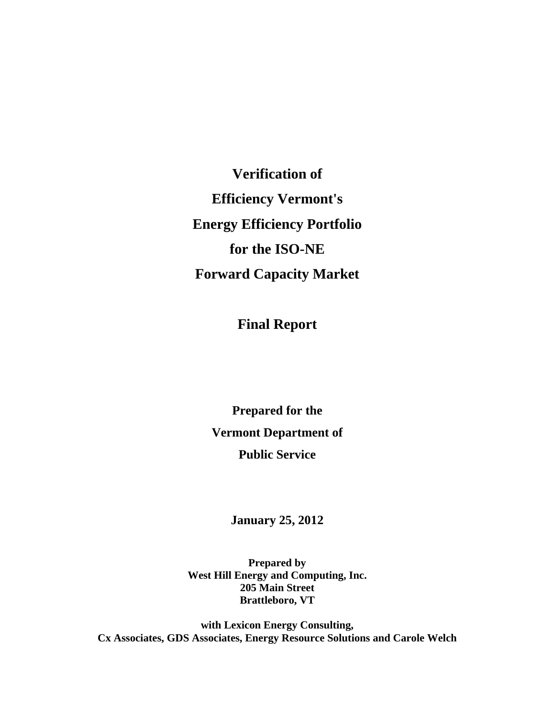**Verification of Efficiency Vermont's Energy Efficiency Portfolio for the ISO-NE Forward Capacity Market** 

**Final Report** 

**Prepared for the Vermont Department of Public Service** 

**January 25, 2012** 

**Prepared by West Hill Energy and Computing, Inc. 205 Main Street Brattleboro, VT** 

**with Lexicon Energy Consulting, Cx Associates, GDS Associates, Energy Resource Solutions and Carole Welch**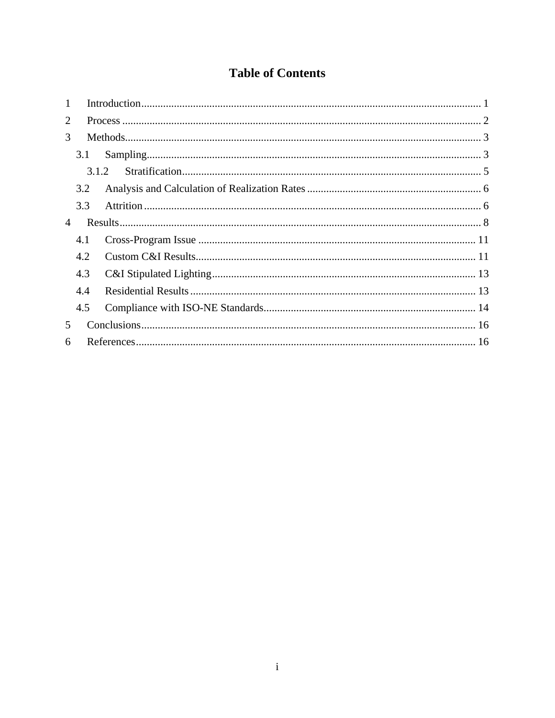## **Table of Contents**

| $\mathbf{1}$   |       |  |  |  |  |  |
|----------------|-------|--|--|--|--|--|
| 2              |       |  |  |  |  |  |
| 3              |       |  |  |  |  |  |
|                | 3.1   |  |  |  |  |  |
|                | 3.1.2 |  |  |  |  |  |
|                | 3.2   |  |  |  |  |  |
|                | 3.3   |  |  |  |  |  |
| $\overline{4}$ |       |  |  |  |  |  |
|                | 4.1   |  |  |  |  |  |
|                | 4.2   |  |  |  |  |  |
|                | 4.3   |  |  |  |  |  |
|                | 4.4   |  |  |  |  |  |
|                | 4.5   |  |  |  |  |  |
| 5              |       |  |  |  |  |  |
| 6              |       |  |  |  |  |  |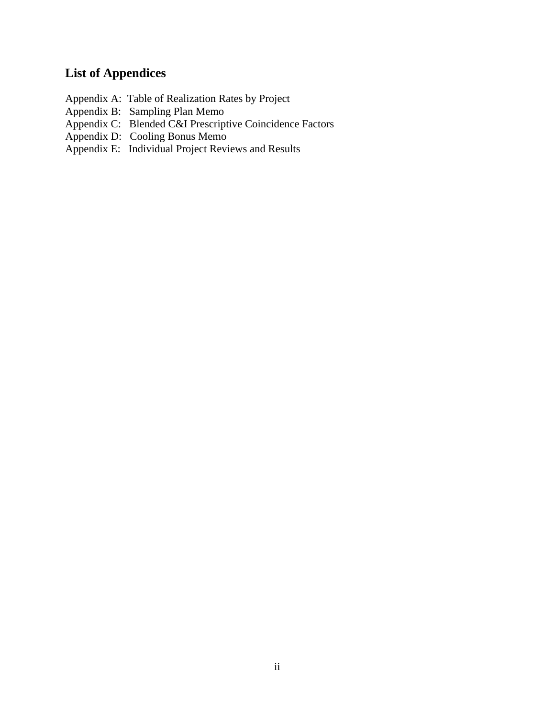# **List of Appendices**

- Appendix A: Table of Realization Rates by Project
- Appendix B: Sampling Plan Memo
- Appendix C: Blended C&I Prescriptive Coincidence Factors
- Appendix D: Cooling Bonus Memo
- Appendix E: Individual Project Reviews and Results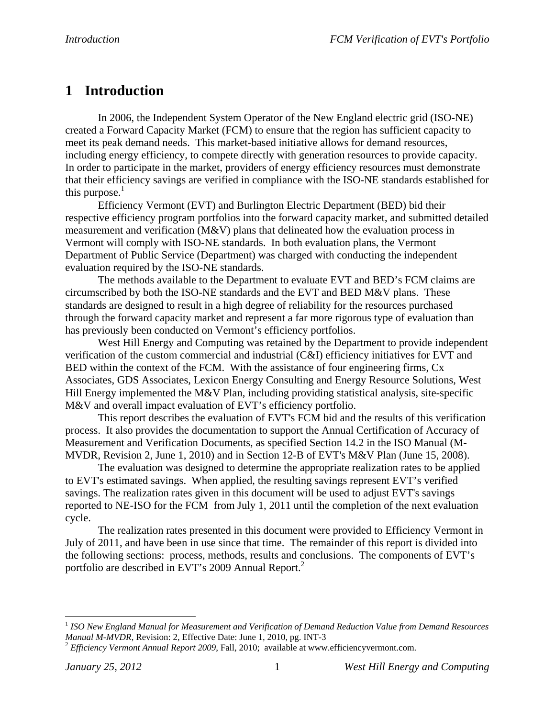# **1 Introduction**

 In 2006, the Independent System Operator of the New England electric grid (ISO-NE) created a Forward Capacity Market (FCM) to ensure that the region has sufficient capacity to meet its peak demand needs. This market-based initiative allows for demand resources, including energy efficiency, to compete directly with generation resources to provide capacity. In order to participate in the market, providers of energy efficiency resources must demonstrate that their efficiency savings are verified in compliance with the ISO-NE standards established for this purpose. $1$ 

 Efficiency Vermont (EVT) and Burlington Electric Department (BED) bid their respective efficiency program portfolios into the forward capacity market, and submitted detailed measurement and verification (M&V) plans that delineated how the evaluation process in Vermont will comply with ISO-NE standards. In both evaluation plans, the Vermont Department of Public Service (Department) was charged with conducting the independent evaluation required by the ISO-NE standards.

The methods available to the Department to evaluate EVT and BED's FCM claims are circumscribed by both the ISO-NE standards and the EVT and BED M&V plans. These standards are designed to result in a high degree of reliability for the resources purchased through the forward capacity market and represent a far more rigorous type of evaluation than has previously been conducted on Vermont's efficiency portfolios.

West Hill Energy and Computing was retained by the Department to provide independent verification of the custom commercial and industrial (C&I) efficiency initiatives for EVT and BED within the context of the FCM. With the assistance of four engineering firms, Cx Associates, GDS Associates, Lexicon Energy Consulting and Energy Resource Solutions, West Hill Energy implemented the M&V Plan, including providing statistical analysis, site-specific M&V and overall impact evaluation of EVT's efficiency portfolio.

This report describes the evaluation of EVT's FCM bid and the results of this verification process. It also provides the documentation to support the Annual Certification of Accuracy of Measurement and Verification Documents, as specified Section 14.2 in the ISO Manual (M-MVDR, Revision 2, June 1, 2010) and in Section 12-B of EVT's M&V Plan (June 15, 2008).

The evaluation was designed to determine the appropriate realization rates to be applied to EVT's estimated savings. When applied, the resulting savings represent EVT's verified savings. The realization rates given in this document will be used to adjust EVT's savings reported to NE-ISO for the FCM from July 1, 2011 until the completion of the next evaluation cycle.

The realization rates presented in this document were provided to Efficiency Vermont in July of 2011, and have been in use since that time. The remainder of this report is divided into the following sections: process, methods, results and conclusions. The components of EVT's portfolio are described in EVT's 2009 Annual Report.<sup>2</sup>

<sup>&</sup>lt;sup>1</sup> *ISO New England Manual for Measurement and Verification of Demand Reduction Value from Demand Resources Manual M-MVDR, Revision: 2, Effective Date: June 1, 2010, pg. INT-3* 

<sup>&</sup>lt;sup>2</sup> *Efficiency Vermont Annual Report 2009*, Fall, 2010; available at www.efficiencyvermont.com.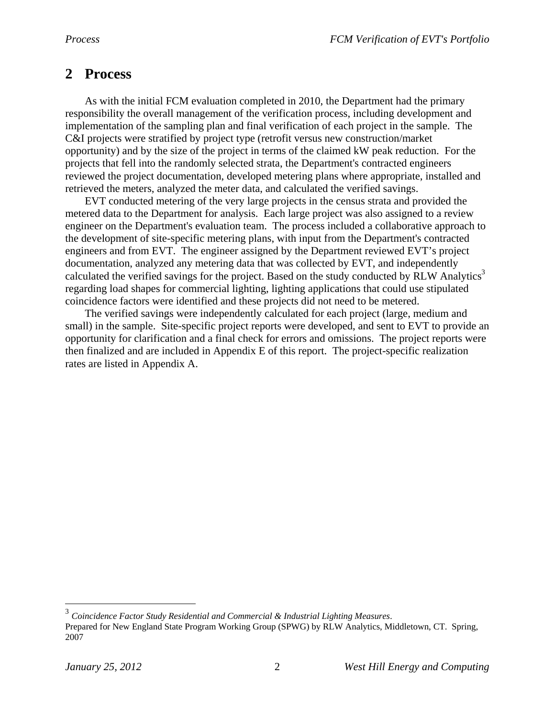# **2 Process**

As with the initial FCM evaluation completed in 2010, the Department had the primary responsibility the overall management of the verification process, including development and implementation of the sampling plan and final verification of each project in the sample. The C&I projects were stratified by project type (retrofit versus new construction/market opportunity) and by the size of the project in terms of the claimed kW peak reduction. For the projects that fell into the randomly selected strata, the Department's contracted engineers reviewed the project documentation, developed metering plans where appropriate, installed and retrieved the meters, analyzed the meter data, and calculated the verified savings.

EVT conducted metering of the very large projects in the census strata and provided the metered data to the Department for analysis. Each large project was also assigned to a review engineer on the Department's evaluation team. The process included a collaborative approach to the development of site-specific metering plans, with input from the Department's contracted engineers and from EVT. The engineer assigned by the Department reviewed EVT's project documentation, analyzed any metering data that was collected by EVT, and independently calculated the verified savings for the project. Based on the study conducted by RLW Analytics<sup>3</sup> regarding load shapes for commercial lighting, lighting applications that could use stipulated coincidence factors were identified and these projects did not need to be metered.

The verified savings were independently calculated for each project (large, medium and small) in the sample. Site-specific project reports were developed, and sent to EVT to provide an opportunity for clarification and a final check for errors and omissions. The project reports were then finalized and are included in Appendix E of this report. The project-specific realization rates are listed in Appendix A.

<u>.</u>

<sup>3</sup> *Coincidence Factor Study Residential and Commercial & Industrial Lighting Measures*. Prepared for New England State Program Working Group (SPWG) by RLW Analytics, Middletown, CT. Spring, 2007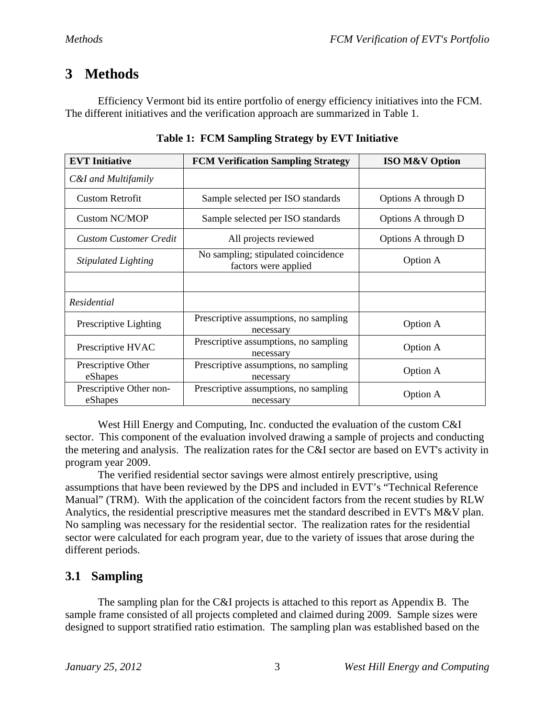# **3 Methods**

 Efficiency Vermont bid its entire portfolio of energy efficiency initiatives into the FCM. The different initiatives and the verification approach are summarized in Table 1.

| <b>EVT</b> Initiative              | <b>FCM Verification Sampling Strategy</b>                      | <b>ISO M&amp;V Option</b> |
|------------------------------------|----------------------------------------------------------------|---------------------------|
| C&I and Multifamily                |                                                                |                           |
| <b>Custom Retrofit</b>             | Sample selected per ISO standards                              | Options A through D       |
| Custom NC/MOP                      | Sample selected per ISO standards                              | Options A through D       |
| <b>Custom Customer Credit</b>      | All projects reviewed                                          | Options A through D       |
| <b>Stipulated Lighting</b>         | No sampling; stipulated coincidence<br>factors were applied    | Option A                  |
|                                    |                                                                |                           |
| Residential                        |                                                                |                           |
| Prescriptive Lighting              | Prescriptive assumptions, no sampling<br>necessary             | Option A                  |
| Prescriptive HVAC                  | Prescriptive assumptions, no sampling<br>necessary             | Option A                  |
| Prescriptive Other                 | Prescriptive assumptions, no sampling<br>Option A              |                           |
| eShapes<br>Prescriptive Other non- | necessary                                                      |                           |
| eShapes                            | Prescriptive assumptions, no sampling<br>Option A<br>necessary |                           |

**Table 1: FCM Sampling Strategy by EVT Initiative** 

 West Hill Energy and Computing, Inc. conducted the evaluation of the custom C&I sector. This component of the evaluation involved drawing a sample of projects and conducting the metering and analysis. The realization rates for the C&I sector are based on EVT's activity in program year 2009.

 The verified residential sector savings were almost entirely prescriptive, using assumptions that have been reviewed by the DPS and included in EVT's "Technical Reference Manual" (TRM). With the application of the coincident factors from the recent studies by RLW Analytics, the residential prescriptive measures met the standard described in EVT's M&V plan. No sampling was necessary for the residential sector. The realization rates for the residential sector were calculated for each program year, due to the variety of issues that arose during the different periods.

## **3.1 Sampling**

 The sampling plan for the C&I projects is attached to this report as Appendix B. The sample frame consisted of all projects completed and claimed during 2009. Sample sizes were designed to support stratified ratio estimation. The sampling plan was established based on the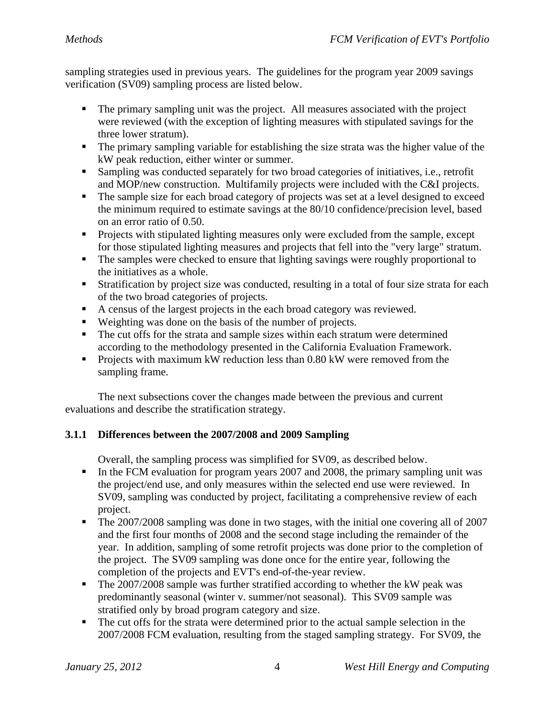sampling strategies used in previous years. The guidelines for the program year 2009 savings verification (SV09) sampling process are listed below.

- The primary sampling unit was the project. All measures associated with the project were reviewed (with the exception of lighting measures with stipulated savings for the three lower stratum).
- The primary sampling variable for establishing the size strata was the higher value of the kW peak reduction, either winter or summer.
- Sampling was conducted separately for two broad categories of initiatives, i.e., retrofit and MOP/new construction. Multifamily projects were included with the C&I projects.
- The sample size for each broad category of projects was set at a level designed to exceed the minimum required to estimate savings at the 80/10 confidence/precision level, based on an error ratio of 0.50.
- **Projects with stipulated lighting measures only were excluded from the sample, except** for those stipulated lighting measures and projects that fell into the "very large" stratum.
- The samples were checked to ensure that lighting savings were roughly proportional to the initiatives as a whole.
- Stratification by project size was conducted, resulting in a total of four size strata for each of the two broad categories of projects.
- A census of the largest projects in the each broad category was reviewed.
- Weighting was done on the basis of the number of projects.
- The cut offs for the strata and sample sizes within each stratum were determined according to the methodology presented in the California Evaluation Framework.
- Projects with maximum kW reduction less than  $0.80$  kW were removed from the sampling frame.

 The next subsections cover the changes made between the previous and current evaluations and describe the stratification strategy.

### **3.1.1 Differences between the 2007/2008 and 2009 Sampling**

Overall, the sampling process was simplified for SV09, as described below.

- In the FCM evaluation for program years 2007 and 2008, the primary sampling unit was the project/end use, and only measures within the selected end use were reviewed. In SV09, sampling was conducted by project, facilitating a comprehensive review of each project.
- The 2007/2008 sampling was done in two stages, with the initial one covering all of 2007 and the first four months of 2008 and the second stage including the remainder of the year. In addition, sampling of some retrofit projects was done prior to the completion of the project. The SV09 sampling was done once for the entire year, following the completion of the projects and EVT's end-of-the-year review.
- The 2007/2008 sample was further stratified according to whether the kW peak was predominantly seasonal (winter v. summer/not seasonal). This SV09 sample was stratified only by broad program category and size.
- The cut offs for the strata were determined prior to the actual sample selection in the 2007/2008 FCM evaluation, resulting from the staged sampling strategy. For SV09, the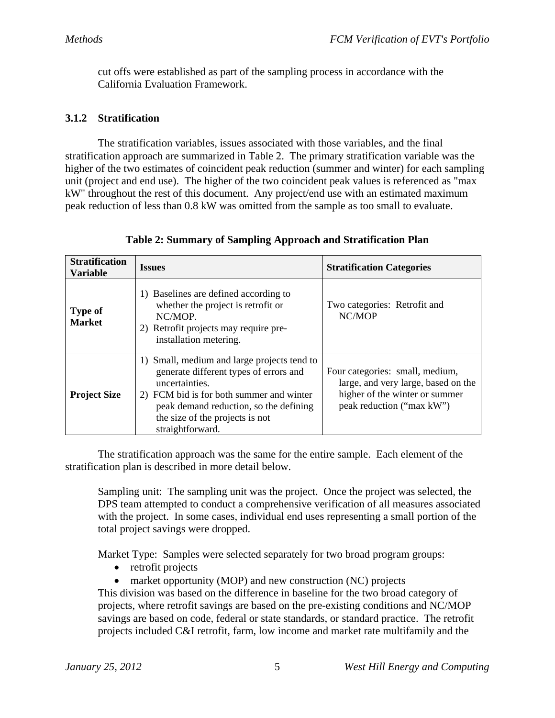cut offs were established as part of the sampling process in accordance with the California Evaluation Framework.

#### **3.1.2 Stratification**

 The stratification variables, issues associated with those variables, and the final stratification approach are summarized in Table 2. The primary stratification variable was the higher of the two estimates of coincident peak reduction (summer and winter) for each sampling unit (project and end use). The higher of the two coincident peak values is referenced as "max kW" throughout the rest of this document. Any project/end use with an estimated maximum peak reduction of less than 0.8 kW was omitted from the sample as too small to evaluate.

| <b>Stratification</b><br><b>Variable</b> | <b>Issues</b>                                                                                                                                                                                                                                        | <b>Stratification Categories</b>                                                                                                      |
|------------------------------------------|------------------------------------------------------------------------------------------------------------------------------------------------------------------------------------------------------------------------------------------------------|---------------------------------------------------------------------------------------------------------------------------------------|
| <b>Type of</b><br><b>Market</b>          | 1) Baselines are defined according to<br>whether the project is retrofit or<br>NC/MOP.<br>2) Retrofit projects may require pre-<br>installation metering.                                                                                            | Two categories: Retrofit and<br>NC/MOP                                                                                                |
| <b>Project Size</b>                      | 1) Small, medium and large projects tend to<br>generate different types of errors and<br>uncertainties.<br>2) FCM bid is for both summer and winter<br>peak demand reduction, so the defining<br>the size of the projects is not<br>straightforward. | Four categories: small, medium,<br>large, and very large, based on the<br>higher of the winter or summer<br>peak reduction ("max kW") |

**Table 2: Summary of Sampling Approach and Stratification Plan** 

 The stratification approach was the same for the entire sample. Each element of the stratification plan is described in more detail below.

Sampling unit: The sampling unit was the project. Once the project was selected, the DPS team attempted to conduct a comprehensive verification of all measures associated with the project. In some cases, individual end uses representing a small portion of the total project savings were dropped.

Market Type: Samples were selected separately for two broad program groups:

- retrofit projects
- market opportunity (MOP) and new construction (NC) projects

This division was based on the difference in baseline for the two broad category of projects, where retrofit savings are based on the pre-existing conditions and NC/MOP savings are based on code, federal or state standards, or standard practice. The retrofit projects included C&I retrofit, farm, low income and market rate multifamily and the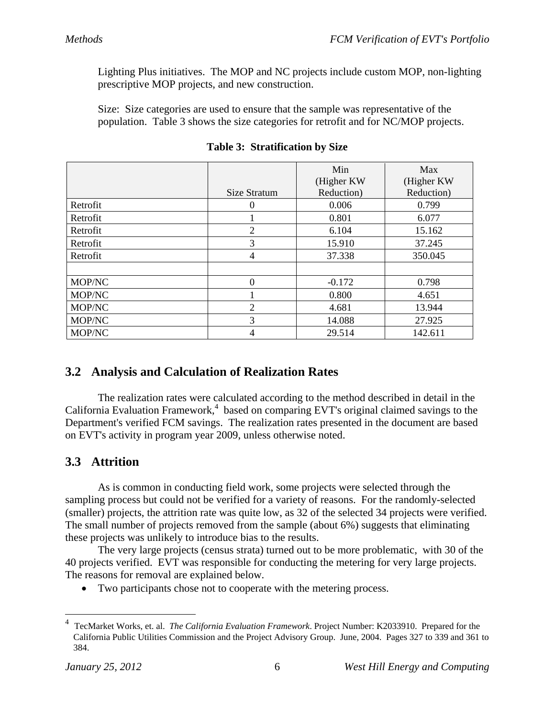Lighting Plus initiatives. The MOP and NC projects include custom MOP, non-lighting prescriptive MOP projects, and new construction.

Size: Size categories are used to ensure that the sample was representative of the population. Table 3 shows the size categories for retrofit and for NC/MOP projects.

|          | Size Stratum   | Min<br>(Higher KW)<br>Reduction) | Max<br>(Higher KW)<br>Reduction) |
|----------|----------------|----------------------------------|----------------------------------|
| Retrofit | 0              | 0.006                            | 0.799                            |
| Retrofit |                | 0.801                            | 6.077                            |
| Retrofit | $\overline{2}$ | 6.104                            | 15.162                           |
| Retrofit | 3              | 15.910                           | 37.245                           |
| Retrofit | 4              | 37.338                           | 350.045                          |
|          |                |                                  |                                  |
| MOP/NC   | 0              | $-0.172$                         | 0.798                            |
| MOP/NC   |                | 0.800                            | 4.651                            |
| MOP/NC   | $\overline{2}$ | 4.681                            | 13.944                           |
| MOP/NC   | 3              | 14.088                           | 27.925                           |
| MOP/NC   | 4              | 29.514                           | 142.611                          |

**Table 3: Stratification by Size** 

## **3.2 Analysis and Calculation of Realization Rates**

 The realization rates were calculated according to the method described in detail in the California Evaluation Framework,<sup>4</sup> based on comparing EVT's original claimed savings to the Department's verified FCM savings. The realization rates presented in the document are based on EVT's activity in program year 2009, unless otherwise noted.

## **3.3 Attrition**

 As is common in conducting field work, some projects were selected through the sampling process but could not be verified for a variety of reasons. For the randomly-selected (smaller) projects, the attrition rate was quite low, as 32 of the selected 34 projects were verified. The small number of projects removed from the sample (about 6%) suggests that eliminating these projects was unlikely to introduce bias to the results.

 The very large projects (census strata) turned out to be more problematic, with 30 of the 40 projects verified. EVT was responsible for conducting the metering for very large projects. The reasons for removal are explained below.

Two participants chose not to cooperate with the metering process.

<sup>4</sup> TecMarket Works, et. al. *The California Evaluation Framework*. Project Number: K2033910. Prepared for the California Public Utilities Commission and the Project Advisory Group. June, 2004. Pages 327 to 339 and 361 to 384.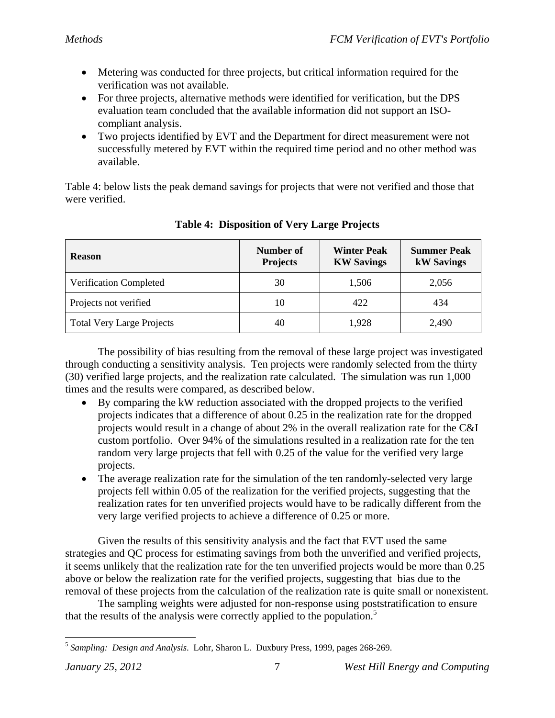- Metering was conducted for three projects, but critical information required for the verification was not available.
- For three projects, alternative methods were identified for verification, but the DPS evaluation team concluded that the available information did not support an ISOcompliant analysis.
- Two projects identified by EVT and the Department for direct measurement were not successfully metered by EVT within the required time period and no other method was available.

Table 4: below lists the peak demand savings for projects that were not verified and those that were verified.

| <b>Reason</b>                    | Number of<br><b>Projects</b> | <b>Winter Peak</b><br><b>KW Savings</b> | <b>Summer Peak</b><br><b>kW</b> Savings |
|----------------------------------|------------------------------|-----------------------------------------|-----------------------------------------|
| Verification Completed           | 30                           | 1,506                                   | 2,056                                   |
| Projects not verified            | 10                           | 422                                     | 434                                     |
| <b>Total Very Large Projects</b> | 40                           | 1,928                                   | 2,490                                   |

**Table 4: Disposition of Very Large Projects** 

 The possibility of bias resulting from the removal of these large project was investigated through conducting a sensitivity analysis. Ten projects were randomly selected from the thirty (30) verified large projects, and the realization rate calculated. The simulation was run 1,000 times and the results were compared, as described below.

- By comparing the kW reduction associated with the dropped projects to the verified projects indicates that a difference of about 0.25 in the realization rate for the dropped projects would result in a change of about 2% in the overall realization rate for the C&I custom portfolio. Over 94% of the simulations resulted in a realization rate for the ten random very large projects that fell with 0.25 of the value for the verified very large projects.
- The average realization rate for the simulation of the ten randomly-selected very large projects fell within 0.05 of the realization for the verified projects, suggesting that the realization rates for ten unverified projects would have to be radically different from the very large verified projects to achieve a difference of 0.25 or more.

 Given the results of this sensitivity analysis and the fact that EVT used the same strategies and QC process for estimating savings from both the unverified and verified projects, it seems unlikely that the realization rate for the ten unverified projects would be more than 0.25 above or below the realization rate for the verified projects, suggesting that bias due to the removal of these projects from the calculation of the realization rate is quite small or nonexistent.

 The sampling weights were adjusted for non-response using poststratification to ensure that the results of the analysis were correctly applied to the population.<sup>5</sup>

<sup>5</sup> *Sampling: Design and Analysis*. Lohr, Sharon L. Duxbury Press, 1999, pages 268-269.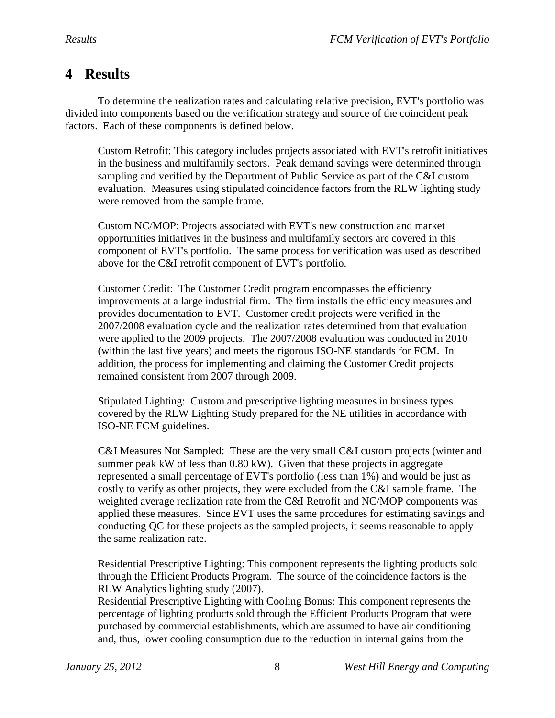# **4 Results**

 To determine the realization rates and calculating relative precision, EVT's portfolio was divided into components based on the verification strategy and source of the coincident peak factors. Each of these components is defined below.

Custom Retrofit: This category includes projects associated with EVT's retrofit initiatives in the business and multifamily sectors. Peak demand savings were determined through sampling and verified by the Department of Public Service as part of the C&I custom evaluation. Measures using stipulated coincidence factors from the RLW lighting study were removed from the sample frame.

Custom NC/MOP: Projects associated with EVT's new construction and market opportunities initiatives in the business and multifamily sectors are covered in this component of EVT's portfolio. The same process for verification was used as described above for the C&I retrofit component of EVT's portfolio.

Customer Credit: The Customer Credit program encompasses the efficiency improvements at a large industrial firm. The firm installs the efficiency measures and provides documentation to EVT. Customer credit projects were verified in the 2007/2008 evaluation cycle and the realization rates determined from that evaluation were applied to the 2009 projects. The 2007/2008 evaluation was conducted in 2010 (within the last five years) and meets the rigorous ISO-NE standards for FCM. In addition, the process for implementing and claiming the Customer Credit projects remained consistent from 2007 through 2009.

Stipulated Lighting: Custom and prescriptive lighting measures in business types covered by the RLW Lighting Study prepared for the NE utilities in accordance with ISO-NE FCM guidelines.

C&I Measures Not Sampled: These are the very small C&I custom projects (winter and summer peak kW of less than 0.80 kW). Given that these projects in aggregate represented a small percentage of EVT's portfolio (less than 1%) and would be just as costly to verify as other projects, they were excluded from the C&I sample frame. The weighted average realization rate from the C&I Retrofit and NC/MOP components was applied these measures. Since EVT uses the same procedures for estimating savings and conducting QC for these projects as the sampled projects, it seems reasonable to apply the same realization rate.

Residential Prescriptive Lighting: This component represents the lighting products sold through the Efficient Products Program. The source of the coincidence factors is the RLW Analytics lighting study (2007).

Residential Prescriptive Lighting with Cooling Bonus: This component represents the percentage of lighting products sold through the Efficient Products Program that were purchased by commercial establishments, which are assumed to have air conditioning and, thus, lower cooling consumption due to the reduction in internal gains from the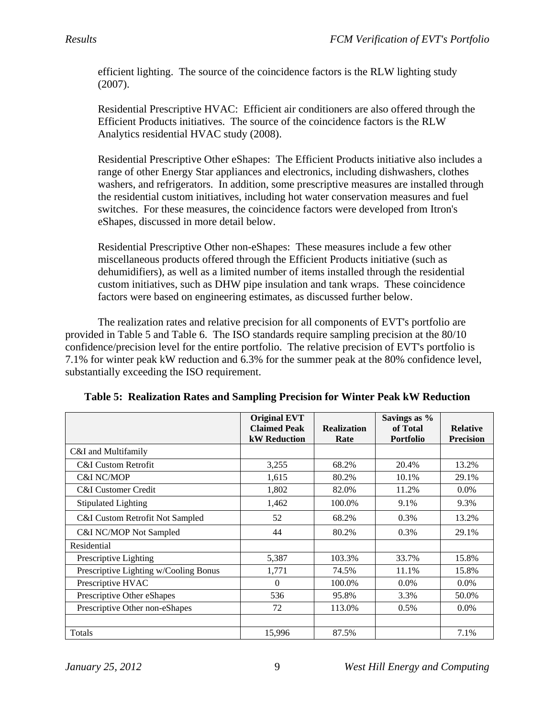efficient lighting. The source of the coincidence factors is the RLW lighting study (2007).

Residential Prescriptive HVAC: Efficient air conditioners are also offered through the Efficient Products initiatives. The source of the coincidence factors is the RLW Analytics residential HVAC study (2008).

Residential Prescriptive Other eShapes: The Efficient Products initiative also includes a range of other Energy Star appliances and electronics, including dishwashers, clothes washers, and refrigerators. In addition, some prescriptive measures are installed through the residential custom initiatives, including hot water conservation measures and fuel switches. For these measures, the coincidence factors were developed from Itron's eShapes, discussed in more detail below.

Residential Prescriptive Other non-eShapes: These measures include a few other miscellaneous products offered through the Efficient Products initiative (such as dehumidifiers), as well as a limited number of items installed through the residential custom initiatives, such as DHW pipe insulation and tank wraps. These coincidence factors were based on engineering estimates, as discussed further below.

 The realization rates and relative precision for all components of EVT's portfolio are provided in Table 5 and Table 6. The ISO standards require sampling precision at the 80/10 confidence/precision level for the entire portfolio. The relative precision of EVT's portfolio is 7.1% for winter peak kW reduction and 6.3% for the summer peak at the 80% confidence level, substantially exceeding the ISO requirement.

|                                       | <b>Original EVT</b><br><b>Claimed Peak</b><br><b>kW</b> Reduction | <b>Realization</b><br>Rate | Savings as %<br>of Total<br><b>Portfolio</b> | <b>Relative</b><br><b>Precision</b> |
|---------------------------------------|-------------------------------------------------------------------|----------------------------|----------------------------------------------|-------------------------------------|
| C&I and Multifamily                   |                                                                   |                            |                                              |                                     |
| <b>C&amp;I Custom Retrofit</b>        | 3,255                                                             | 68.2%                      | 20.4%                                        | 13.2%                               |
| <b>C&amp;I NC/MOP</b>                 | 1,615                                                             | 80.2%                      | 10.1%                                        | 29.1%                               |
| <b>C&amp;I</b> Customer Credit        | 1,802                                                             | 82.0%                      | 11.2%                                        | $0.0\%$                             |
| <b>Stipulated Lighting</b>            | 1,462                                                             | 100.0%                     | 9.1%                                         | 9.3%                                |
| C&I Custom Retrofit Not Sampled       | 52                                                                | 68.2%                      | 0.3%                                         | 13.2%                               |
| C&I NC/MOP Not Sampled                | 44                                                                | 80.2%                      | $0.3\%$                                      | 29.1%                               |
| Residential                           |                                                                   |                            |                                              |                                     |
| Prescriptive Lighting                 | 5,387                                                             | 103.3%                     | 33.7%                                        | 15.8%                               |
| Prescriptive Lighting w/Cooling Bonus | 1,771                                                             | 74.5%                      | 11.1%                                        | 15.8%                               |
| Prescriptive HVAC                     | $\Omega$                                                          | 100.0%                     | $0.0\%$                                      | $0.0\%$                             |
| Prescriptive Other eShapes            | 536                                                               | 95.8%                      | 3.3%                                         | 50.0%                               |
| Prescriptive Other non-eShapes        | 72                                                                | 113.0%                     | $0.5\%$                                      | $0.0\%$                             |
| Totals                                | 15,996                                                            | 87.5%                      |                                              | 7.1%                                |

**Table 5: Realization Rates and Sampling Precision for Winter Peak kW Reduction**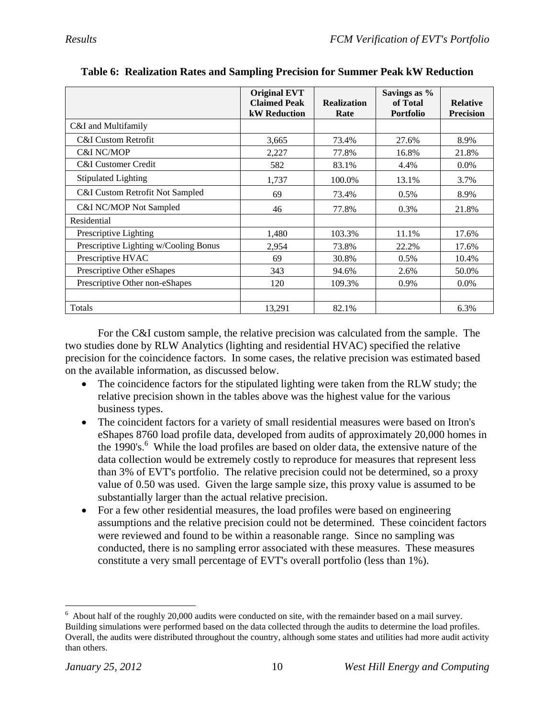|                                       | <b>Original EVT</b> |                    | Savings as %     |                  |
|---------------------------------------|---------------------|--------------------|------------------|------------------|
|                                       | <b>Claimed Peak</b> | <b>Realization</b> | of Total         | <b>Relative</b>  |
|                                       | <b>kW</b> Reduction | Rate               | <b>Portfolio</b> | <b>Precision</b> |
| C&I and Multifamily                   |                     |                    |                  |                  |
| C&I Custom Retrofit                   | 3,665               | 73.4%              | 27.6%            | 8.9%             |
| C&I NC/MOP                            | 2,227               | 77.8%              | 16.8%            | 21.8%            |
| <b>C&amp;I</b> Customer Credit        | 582                 | 83.1%              | 4.4%             | $0.0\%$          |
| <b>Stipulated Lighting</b>            | 1,737               | 100.0%             | 13.1%            | 3.7%             |
| C&I Custom Retrofit Not Sampled       | 69                  | 73.4%              | 0.5%             | 8.9%             |
| C&I NC/MOP Not Sampled                | 46                  | 77.8%              | 0.3%             | 21.8%            |
| Residential                           |                     |                    |                  |                  |
| Prescriptive Lighting                 | 1,480               | 103.3%             | 11.1%            | 17.6%            |
| Prescriptive Lighting w/Cooling Bonus | 2,954               | 73.8%              | 22.2%            | 17.6%            |
| Prescriptive HVAC                     | 69                  | 30.8%              | $0.5\%$          | 10.4%            |
| Prescriptive Other eShapes            | 343                 | 94.6%              | 2.6%             | 50.0%            |
| Prescriptive Other non-eShapes        | 120                 | 109.3%             | 0.9%             | $0.0\%$          |
|                                       |                     |                    |                  |                  |
| Totals                                | 13,291              | 82.1%              |                  | 6.3%             |

**Table 6: Realization Rates and Sampling Precision for Summer Peak kW Reduction** 

 For the C&I custom sample, the relative precision was calculated from the sample. The two studies done by RLW Analytics (lighting and residential HVAC) specified the relative precision for the coincidence factors. In some cases, the relative precision was estimated based on the available information, as discussed below.

- The coincidence factors for the stipulated lighting were taken from the RLW study; the relative precision shown in the tables above was the highest value for the various business types.
- The coincident factors for a variety of small residential measures were based on Itron's eShapes 8760 load profile data, developed from audits of approximately 20,000 homes in the 1990's.<sup>6</sup> While the load profiles are based on older data, the extensive nature of the data collection would be extremely costly to reproduce for measures that represent less than 3% of EVT's portfolio. The relative precision could not be determined, so a proxy value of 0.50 was used. Given the large sample size, this proxy value is assumed to be substantially larger than the actual relative precision.
- For a few other residential measures, the load profiles were based on engineering assumptions and the relative precision could not be determined. These coincident factors were reviewed and found to be within a reasonable range. Since no sampling was conducted, there is no sampling error associated with these measures. These measures constitute a very small percentage of EVT's overall portfolio (less than 1%).

<sup>&</sup>lt;u>.</u>  $6$  About half of the roughly 20,000 audits were conducted on site, with the remainder based on a mail survey. Building simulations were performed based on the data collected through the audits to determine the load profiles. Overall, the audits were distributed throughout the country, although some states and utilities had more audit activity than others.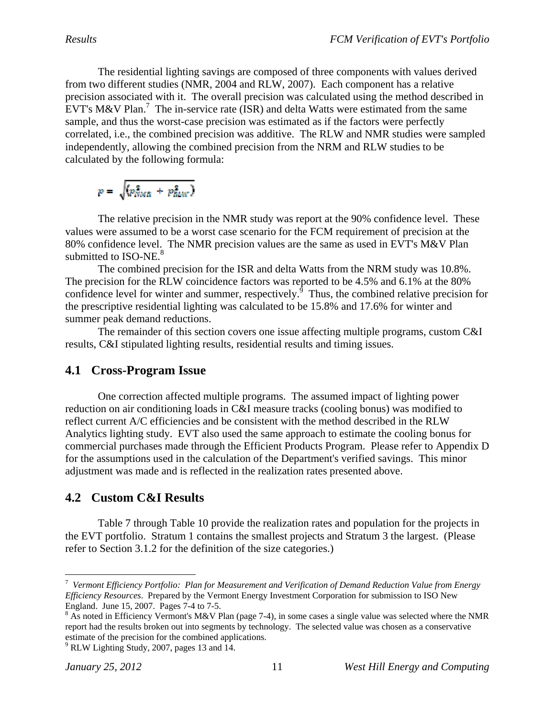The residential lighting savings are composed of three components with values derived from two different studies (NMR, 2004 and RLW, 2007). Each component has a relative precision associated with it. The overall precision was calculated using the method described in EVT's M&V Plan.<sup>7</sup> The in-service rate (ISR) and delta Watts were estimated from the same sample, and thus the worst-case precision was estimated as if the factors were perfectly correlated, i.e., the combined precision was additive. The RLW and NMR studies were sampled independently, allowing the combined precision from the NRM and RLW studies to be calculated by the following formula:

$$
p = \sqrt{(p_{NMR}^2 + p_{RMW}^2)}
$$

 The relative precision in the NMR study was report at the 90% confidence level. These values were assumed to be a worst case scenario for the FCM requirement of precision at the 80% confidence level. The NMR precision values are the same as used in EVT's M&V Plan submitted to ISO-NE. $8$ 

 The combined precision for the ISR and delta Watts from the NRM study was 10.8%. The precision for the RLW coincidence factors was reported to be 4.5% and 6.1% at the 80% confidence level for winter and summer, respectively. $\int$ <sup>5</sup> Thus, the combined relative precision for the prescriptive residential lighting was calculated to be 15.8% and 17.6% for winter and summer peak demand reductions.

 The remainder of this section covers one issue affecting multiple programs, custom C&I results, C&I stipulated lighting results, residential results and timing issues.

### **4.1 Cross-Program Issue**

 One correction affected multiple programs. The assumed impact of lighting power reduction on air conditioning loads in C&I measure tracks (cooling bonus) was modified to reflect current A/C efficiencies and be consistent with the method described in the RLW Analytics lighting study. EVT also used the same approach to estimate the cooling bonus for commercial purchases made through the Efficient Products Program. Please refer to Appendix D for the assumptions used in the calculation of the Department's verified savings. This minor adjustment was made and is reflected in the realization rates presented above.

## **4.2 Custom C&I Results**

Table 7 through Table 10 provide the realization rates and population for the projects in the EVT portfolio. Stratum 1 contains the smallest projects and Stratum 3 the largest. (Please refer to Section 3.1.2 for the definition of the size categories.)

<sup>7</sup> *Vermont Efficiency Portfolio: Plan for Measurement and Verification of Demand Reduction Value from Energy Efficiency Resources*. Prepared by the Vermont Energy Investment Corporation for submission to ISO New England. June 15, 2007. Pages 7-4 to 7-5.

 $8$  As noted in Efficiency Vermont's M&V Plan (page 7-4), in some cases a single value was selected where the NMR report had the results broken out into segments by technology. The selected value was chosen as a conservative estimate of the precision for the combined applications.

 $9$  RLW Lighting Study, 2007, pages 13 and 14.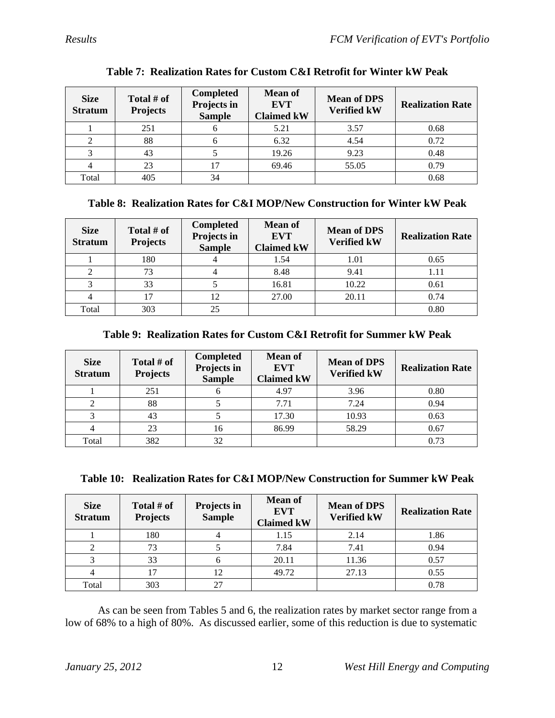| <b>Size</b><br><b>Stratum</b> | Total # of<br><b>Projects</b> | <b>Completed</b><br>Projects in<br><b>Sample</b> | <b>Mean of</b><br><b>EVT</b><br><b>Claimed kW</b> | <b>Mean of DPS</b><br><b>Verified kW</b> | <b>Realization Rate</b> |
|-------------------------------|-------------------------------|--------------------------------------------------|---------------------------------------------------|------------------------------------------|-------------------------|
|                               | 251                           |                                                  | 5.21                                              | 3.57                                     | 0.68                    |
|                               | 88                            |                                                  | 6.32                                              | 4.54                                     | 0.72                    |
|                               | 43                            |                                                  | 19.26                                             | 9.23                                     | 0.48                    |
|                               | 23                            |                                                  | 69.46                                             | 55.05                                    | 0.79                    |
| Total                         | 405                           | 34                                               |                                                   |                                          | 0.68                    |

### **Table 7: Realization Rates for Custom C&I Retrofit for Winter kW Peak**

### **Table 8: Realization Rates for C&I MOP/New Construction for Winter kW Peak**

| <b>Size</b><br><b>Stratum</b> | Total # of<br><b>Projects</b> | <b>Completed</b><br>Projects in<br><b>Sample</b> | <b>Mean of</b><br><b>EVT</b><br><b>Claimed kW</b> | <b>Mean of DPS</b><br><b>Verified kW</b> | <b>Realization Rate</b> |
|-------------------------------|-------------------------------|--------------------------------------------------|---------------------------------------------------|------------------------------------------|-------------------------|
|                               | 180                           |                                                  | 1.54                                              | 1.01                                     | 0.65                    |
|                               | 73                            |                                                  | 8.48                                              | 9.41                                     | 1.11                    |
|                               | 33                            |                                                  | 16.81                                             | 10.22                                    | 0.61                    |
|                               |                               | 12                                               | 27.00                                             | 20.11                                    | 0.74                    |
| Total                         | 303                           | 25                                               |                                                   |                                          | 0.80                    |

### **Table 9: Realization Rates for Custom C&I Retrofit for Summer kW Peak**

| <b>Size</b><br><b>Stratum</b> | Total # of<br><b>Projects</b> | <b>Completed</b><br>Projects in<br><b>Sample</b> | <b>Mean of</b><br><b>EVT</b><br><b>Claimed kW</b> | <b>Mean of DPS</b><br><b>Verified kW</b> | <b>Realization Rate</b> |
|-------------------------------|-------------------------------|--------------------------------------------------|---------------------------------------------------|------------------------------------------|-------------------------|
|                               | 251                           |                                                  | 4.97                                              | 3.96                                     | 0.80                    |
|                               | 88                            |                                                  | 7.71                                              | 7.24                                     | 0.94                    |
|                               | 43                            |                                                  | 17.30                                             | 10.93                                    | 0.63                    |
|                               | 23                            | 16                                               | 86.99                                             | 58.29                                    | 0.67                    |
| Total                         | 382                           | 32                                               |                                                   |                                          | 0.73                    |

|  |  | Table 10: Realization Rates for C&I MOP/New Construction for Summer kW Peak |
|--|--|-----------------------------------------------------------------------------|
|  |  |                                                                             |

| <b>Size</b><br><b>Stratum</b> | Total # of<br><b>Projects</b> | Projects in<br><b>Sample</b> | <b>Mean of</b><br><b>EVT</b><br><b>Claimed kW</b> | <b>Mean of DPS</b><br><b>Verified kW</b> | <b>Realization Rate</b> |
|-------------------------------|-------------------------------|------------------------------|---------------------------------------------------|------------------------------------------|-------------------------|
|                               | 180                           |                              | 1.15                                              | 2.14                                     | 1.86                    |
|                               | 73                            |                              | 7.84                                              | 7.41                                     | 0.94                    |
|                               | 33                            |                              | 20.11                                             | 11.36                                    | 0.57                    |
|                               |                               | 12                           | 49.72                                             | 27.13                                    | 0.55                    |
| Total                         | 303                           | 27                           |                                                   |                                          | 0.78                    |

 As can be seen from Tables 5 and 6, the realization rates by market sector range from a low of 68% to a high of 80%. As discussed earlier, some of this reduction is due to systematic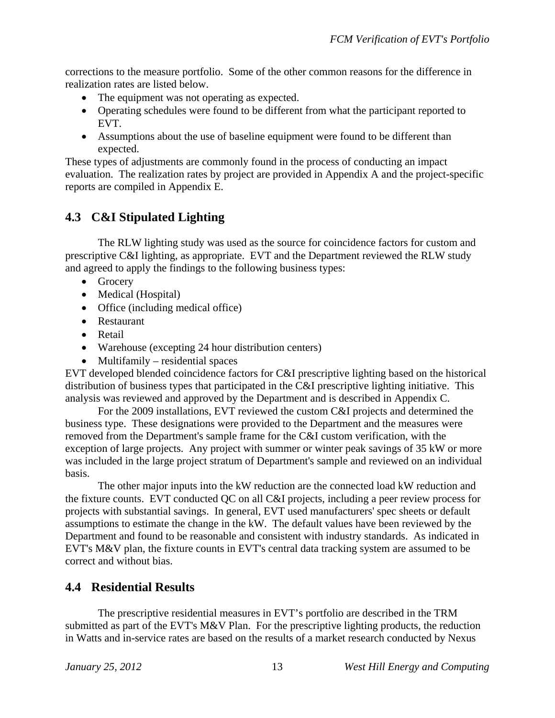corrections to the measure portfolio. Some of the other common reasons for the difference in realization rates are listed below.

- The equipment was not operating as expected.
- Operating schedules were found to be different from what the participant reported to EVT.
- Assumptions about the use of baseline equipment were found to be different than expected.

These types of adjustments are commonly found in the process of conducting an impact evaluation. The realization rates by project are provided in Appendix A and the project-specific reports are compiled in Appendix E.

## **4.3 C&I Stipulated Lighting**

 The RLW lighting study was used as the source for coincidence factors for custom and prescriptive C&I lighting, as appropriate. EVT and the Department reviewed the RLW study and agreed to apply the findings to the following business types:

- Grocery
- Medical (Hospital)
- Office (including medical office)
- Restaurant
- Retail
- Warehouse (excepting 24 hour distribution centers)
- $\bullet$  Multifamily residential spaces

EVT developed blended coincidence factors for C&I prescriptive lighting based on the historical distribution of business types that participated in the C&I prescriptive lighting initiative. This analysis was reviewed and approved by the Department and is described in Appendix C.

 For the 2009 installations, EVT reviewed the custom C&I projects and determined the business type. These designations were provided to the Department and the measures were removed from the Department's sample frame for the C&I custom verification, with the exception of large projects. Any project with summer or winter peak savings of 35 kW or more was included in the large project stratum of Department's sample and reviewed on an individual basis.

 The other major inputs into the kW reduction are the connected load kW reduction and the fixture counts. EVT conducted QC on all C&I projects, including a peer review process for projects with substantial savings. In general, EVT used manufacturers' spec sheets or default assumptions to estimate the change in the kW. The default values have been reviewed by the Department and found to be reasonable and consistent with industry standards. As indicated in EVT's M&V plan, the fixture counts in EVT's central data tracking system are assumed to be correct and without bias.

### **4.4 Residential Results**

The prescriptive residential measures in EVT's portfolio are described in the TRM submitted as part of the EVT's M&V Plan. For the prescriptive lighting products, the reduction in Watts and in-service rates are based on the results of a market research conducted by Nexus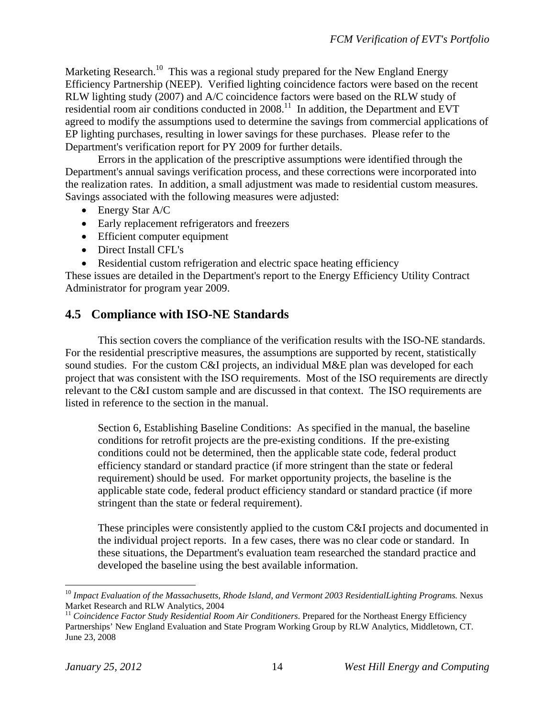Marketing Research.<sup>10</sup> This was a regional study prepared for the New England Energy Efficiency Partnership (NEEP). Verified lighting coincidence factors were based on the recent RLW lighting study (2007) and A/C coincidence factors were based on the RLW study of residential room air conditions conducted in 2008.<sup>11</sup> In addition, the Department and EVT agreed to modify the assumptions used to determine the savings from commercial applications of EP lighting purchases, resulting in lower savings for these purchases. Please refer to the Department's verification report for PY 2009 for further details.

 Errors in the application of the prescriptive assumptions were identified through the Department's annual savings verification process, and these corrections were incorporated into the realization rates. In addition, a small adjustment was made to residential custom measures. Savings associated with the following measures were adjusted:

- Energy Star A/C
- Early replacement refrigerators and freezers
- Efficient computer equipment
- Direct Install CFL's
- Residential custom refrigeration and electric space heating efficiency

These issues are detailed in the Department's report to the Energy Efficiency Utility Contract Administrator for program year 2009.

### **4.5 Compliance with ISO-NE Standards**

 This section covers the compliance of the verification results with the ISO-NE standards. For the residential prescriptive measures, the assumptions are supported by recent, statistically sound studies. For the custom C&I projects, an individual M&E plan was developed for each project that was consistent with the ISO requirements. Most of the ISO requirements are directly relevant to the C&I custom sample and are discussed in that context. The ISO requirements are listed in reference to the section in the manual.

Section 6, Establishing Baseline Conditions: As specified in the manual, the baseline conditions for retrofit projects are the pre-existing conditions. If the pre-existing conditions could not be determined, then the applicable state code, federal product efficiency standard or standard practice (if more stringent than the state or federal requirement) should be used. For market opportunity projects, the baseline is the applicable state code, federal product efficiency standard or standard practice (if more stringent than the state or federal requirement).

These principles were consistently applied to the custom C&I projects and documented in the individual project reports. In a few cases, there was no clear code or standard. In these situations, the Department's evaluation team researched the standard practice and developed the baseline using the best available information.

<sup>&</sup>lt;sup>10</sup> *Impact Evaluation of the Massachusetts, Rhode Island, and Vermont 2003 ResidentialLighting Programs.* Nexus Market Research and RLW Analytics, 2004

<sup>&</sup>lt;sup>11</sup> Coincidence Factor Study Residential Room Air Conditioners. Prepared for the Northeast Energy Efficiency Partnerships' New England Evaluation and State Program Working Group by RLW Analytics, Middletown, CT. June 23, 2008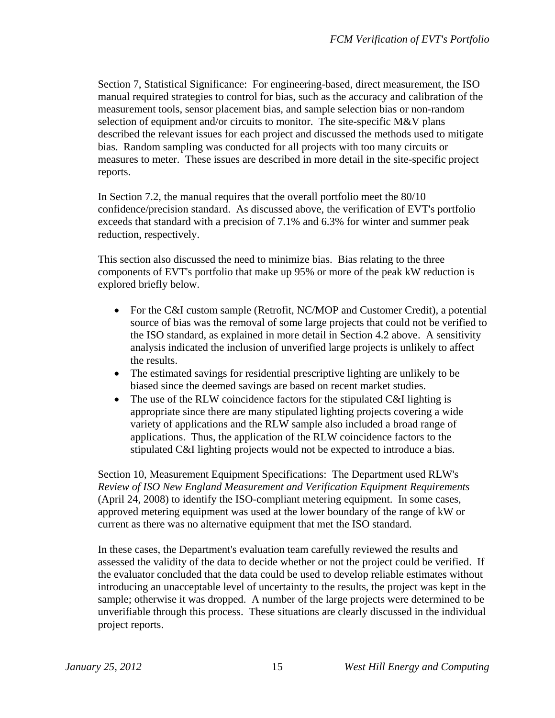Section 7, Statistical Significance: For engineering-based, direct measurement, the ISO manual required strategies to control for bias, such as the accuracy and calibration of the measurement tools, sensor placement bias, and sample selection bias or non-random selection of equipment and/or circuits to monitor. The site-specific M&V plans described the relevant issues for each project and discussed the methods used to mitigate bias. Random sampling was conducted for all projects with too many circuits or measures to meter. These issues are described in more detail in the site-specific project reports.

In Section 7.2, the manual requires that the overall portfolio meet the 80/10 confidence/precision standard. As discussed above, the verification of EVT's portfolio exceeds that standard with a precision of 7.1% and 6.3% for winter and summer peak reduction, respectively.

This section also discussed the need to minimize bias. Bias relating to the three components of EVT's portfolio that make up 95% or more of the peak kW reduction is explored briefly below.

- For the C&I custom sample (Retrofit, NC/MOP and Customer Credit), a potential source of bias was the removal of some large projects that could not be verified to the ISO standard, as explained in more detail in Section 4.2 above. A sensitivity analysis indicated the inclusion of unverified large projects is unlikely to affect the results.
- The estimated savings for residential prescriptive lighting are unlikely to be biased since the deemed savings are based on recent market studies.
- The use of the RLW coincidence factors for the stipulated C&I lighting is appropriate since there are many stipulated lighting projects covering a wide variety of applications and the RLW sample also included a broad range of applications. Thus, the application of the RLW coincidence factors to the stipulated C&I lighting projects would not be expected to introduce a bias.

Section 10, Measurement Equipment Specifications: The Department used RLW's *Review of ISO New England Measurement and Verification Equipment Requirements*  (April 24, 2008) to identify the ISO-compliant metering equipment. In some cases, approved metering equipment was used at the lower boundary of the range of kW or current as there was no alternative equipment that met the ISO standard.

In these cases, the Department's evaluation team carefully reviewed the results and assessed the validity of the data to decide whether or not the project could be verified. If the evaluator concluded that the data could be used to develop reliable estimates without introducing an unacceptable level of uncertainty to the results, the project was kept in the sample; otherwise it was dropped. A number of the large projects were determined to be unverifiable through this process. These situations are clearly discussed in the individual project reports.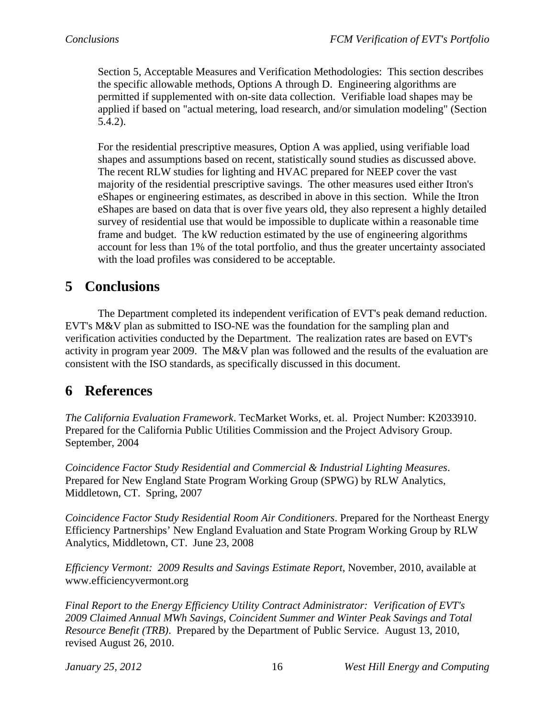Section 5, Acceptable Measures and Verification Methodologies: This section describes the specific allowable methods, Options A through D. Engineering algorithms are permitted if supplemented with on-site data collection. Verifiable load shapes may be applied if based on "actual metering, load research, and/or simulation modeling" (Section 5.4.2).

For the residential prescriptive measures, Option A was applied, using verifiable load shapes and assumptions based on recent, statistically sound studies as discussed above. The recent RLW studies for lighting and HVAC prepared for NEEP cover the vast majority of the residential prescriptive savings. The other measures used either Itron's eShapes or engineering estimates, as described in above in this section. While the Itron eShapes are based on data that is over five years old, they also represent a highly detailed survey of residential use that would be impossible to duplicate within a reasonable time frame and budget. The kW reduction estimated by the use of engineering algorithms account for less than 1% of the total portfolio, and thus the greater uncertainty associated with the load profiles was considered to be acceptable.

# **5 Conclusions**

 The Department completed its independent verification of EVT's peak demand reduction. EVT's M&V plan as submitted to ISO-NE was the foundation for the sampling plan and verification activities conducted by the Department. The realization rates are based on EVT's activity in program year 2009. The M&V plan was followed and the results of the evaluation are consistent with the ISO standards, as specifically discussed in this document.

## **6 References**

*The California Evaluation Framework*. TecMarket Works, et. al. Project Number: K2033910. Prepared for the California Public Utilities Commission and the Project Advisory Group. September, 2004

*Coincidence Factor Study Residential and Commercial & Industrial Lighting Measures*. Prepared for New England State Program Working Group (SPWG) by RLW Analytics, Middletown, CT. Spring, 2007

*Coincidence Factor Study Residential Room Air Conditioners*. Prepared for the Northeast Energy Efficiency Partnerships' New England Evaluation and State Program Working Group by RLW Analytics, Middletown, CT. June 23, 2008

*Efficiency Vermont: 2009 Results and Savings Estimate Report*, November, 2010, available at www.efficiencyvermont.org

*Final Report to the Energy Efficiency Utility Contract Administrator: Verification of EVT's 2009 Claimed Annual MWh Savings, Coincident Summer and Winter Peak Savings and Total Resource Benefit (TRB)*. Prepared by the Department of Public Service. August 13, 2010, revised August 26, 2010.